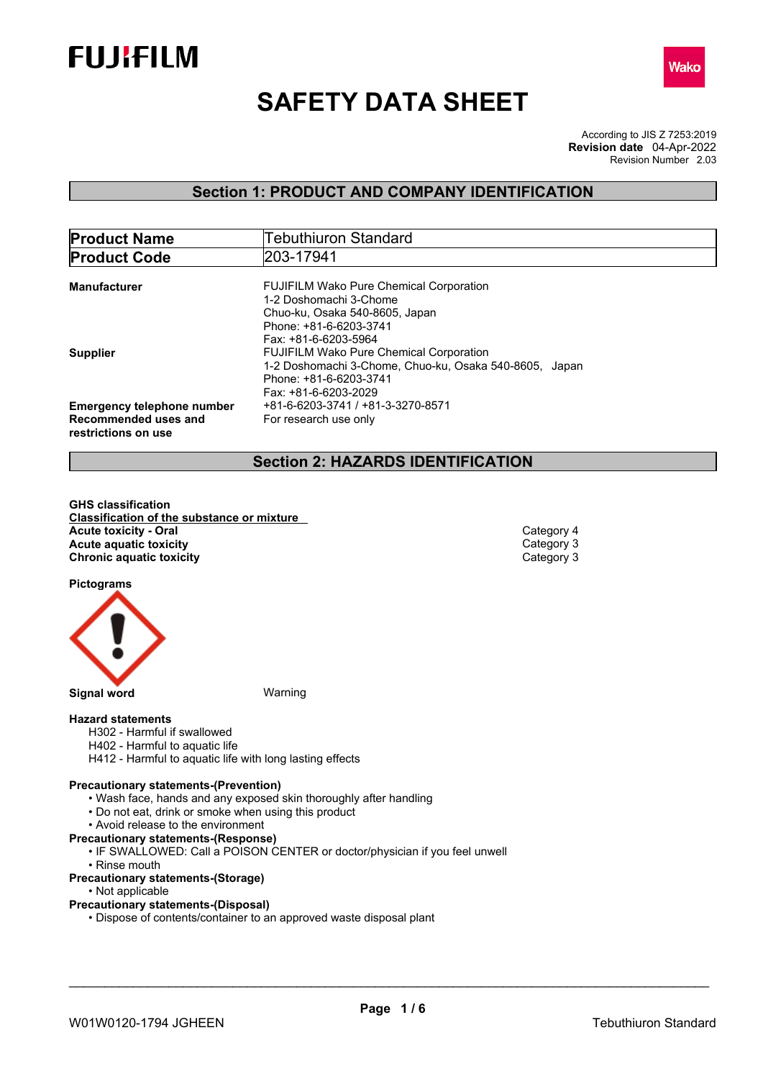



# **SAFETY DATA SHEET**

According to JIS Z 7253:2019 Revision Number 2.03 **Revision date** 04-Apr-2022

## **Section 1: PRODUCT AND COMPANY IDENTIFICATION**

| <b>Product Name</b>               | <b>Tebuthiuron Standard</b>                            |  |  |
|-----------------------------------|--------------------------------------------------------|--|--|
| <b>Product Code</b>               | 203-17941                                              |  |  |
|                                   |                                                        |  |  |
| Manufacturer                      | <b>FUJIFILM Wako Pure Chemical Corporation</b>         |  |  |
|                                   | 1-2 Doshomachi 3-Chome                                 |  |  |
|                                   | Chuo-ku, Osaka 540-8605, Japan                         |  |  |
|                                   | Phone: +81-6-6203-3741                                 |  |  |
|                                   | Fax: +81-6-6203-5964                                   |  |  |
| <b>Supplier</b>                   | <b>FUJIFILM Wako Pure Chemical Corporation</b>         |  |  |
|                                   | 1-2 Doshomachi 3-Chome, Chuo-ku, Osaka 540-8605, Japan |  |  |
|                                   | Phone: +81-6-6203-3741                                 |  |  |
|                                   | Fax: +81-6-6203-2029                                   |  |  |
| <b>Emergency telephone number</b> | +81-6-6203-3741 / +81-3-3270-8571                      |  |  |
| Recommended uses and              | For research use only                                  |  |  |
| restrictions on use               |                                                        |  |  |
|                                   |                                                        |  |  |

## **Section 2: HAZARDS IDENTIFICATION**

**GHS classification Classification of the substance or mixture Acute toxicity - Oral** Category 4<br> **Acute aquatic toxicity**<br>
Category 3 **Acute aquatic toxicity**<br> **Category 3**<br> **Chronic aquatic toxicity Chronic aquatic toxicity** 

**Pictograms**



#### **Hazard statements**

- H302 Harmful if swallowed
- H402 Harmful to aquatic life
- H412 Harmful to aquatic life with long lasting effects

#### **Precautionary statements-(Prevention)**

- Wash face, hands and any exposed skin thoroughly after handling
- Do not eat, drink or smoke when using this product
- Avoid release to the environment
- **Precautionary statements-(Response)**
	- IF SWALLOWED: Call a POISON CENTER or doctor/physician if you feel unwell
	- Rinse mouth

#### **Precautionary statements-(Storage)**

• Not applicable

#### **Precautionary statements-(Disposal)**

• Dispose of contents/container to an approved waste disposal plant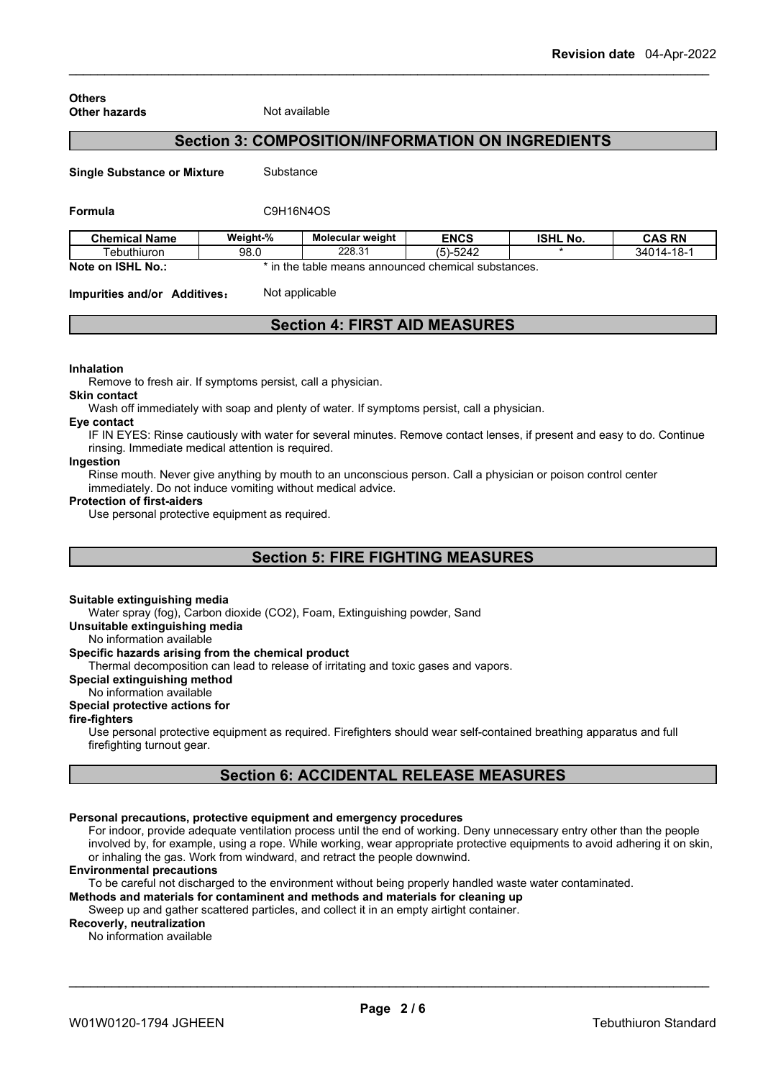#### **Others Other hazards** Not available

## **Section 3: COMPOSITION/INFORMATION ON INGREDIENTS**

**Single Substance or Mixture** Substance

#### **Formula** C9H16N4OS

| <b>Chemical Name</b>         | Weight-% | <b>Molecular weight</b> | <b>ENCS</b>                            | <b>ISHL No.</b> | <b>CAS RN</b>  |
|------------------------------|----------|-------------------------|----------------------------------------|-----------------|----------------|
| Tebuthiuron                  | 98.0     | 228.31                  | (5)-5242                               |                 | $34014 - 18 -$ |
| Note on<br><b>ISHL</b><br>No | the ،    | : table                 | e means announced chemical substances. |                 |                |

**Impurities and/or Additives:** Not applicable

## **Section 4: FIRST AID MEASURES**

#### **Inhalation**

Remove to fresh air. If symptoms persist, call a physician.

Wash off immediately with soap and plenty of water. If symptoms persist, call a physician.

#### **Eye contact**

**Skin contact**

IF IN EYES: Rinse cautiously with water for several minutes. Remove contact lenses, if present and easy to do. Continue rinsing. Immediate medical attention is required.

#### **Ingestion**

Rinse mouth. Never give anything by mouth to an unconscious person. Call a physician or poison control center immediately. Do not induce vomiting without medical advice.

#### **Protection of first-aiders**

Use personal protective equipment as required.

## **Section 5: FIRE FIGHTING MEASURES**

#### **Suitable extinguishing media**

Water spray (fog), Carbon dioxide (CO2), Foam, Extinguishing powder, Sand

**Unsuitable extinguishing media**

No information available

### **Specific hazards arising from the chemical product**

Thermal decomposition can lead to release of irritating and toxic gases and vapors.

**Special extinguishing method**

#### No information available

#### **Special protective actions for**

#### **fire-fighters**

Use personal protective equipment as required.Firefighters should wear self-contained breathing apparatus and full firefighting turnout gear.

## **Section 6: ACCIDENTAL RELEASE MEASURES**

#### **Personal precautions, protective equipment and emergency procedures**

For indoor, provide adequate ventilation process until the end of working. Deny unnecessary entry other than the people involved by, for example, using a rope. While working, wear appropriate protective equipments to avoid adhering it on skin, or inhaling the gas. Work from windward, and retract the people downwind.

#### **Environmental precautions**

To be careful not discharged to the environment without being properly handled waste water contaminated.

**Methods and materials for contaminent and methods and materials for cleaning up**

## Sweep up and gather scattered particles, and collect it in an empty airtight container.

## **Recoverly, neutralization**

No information available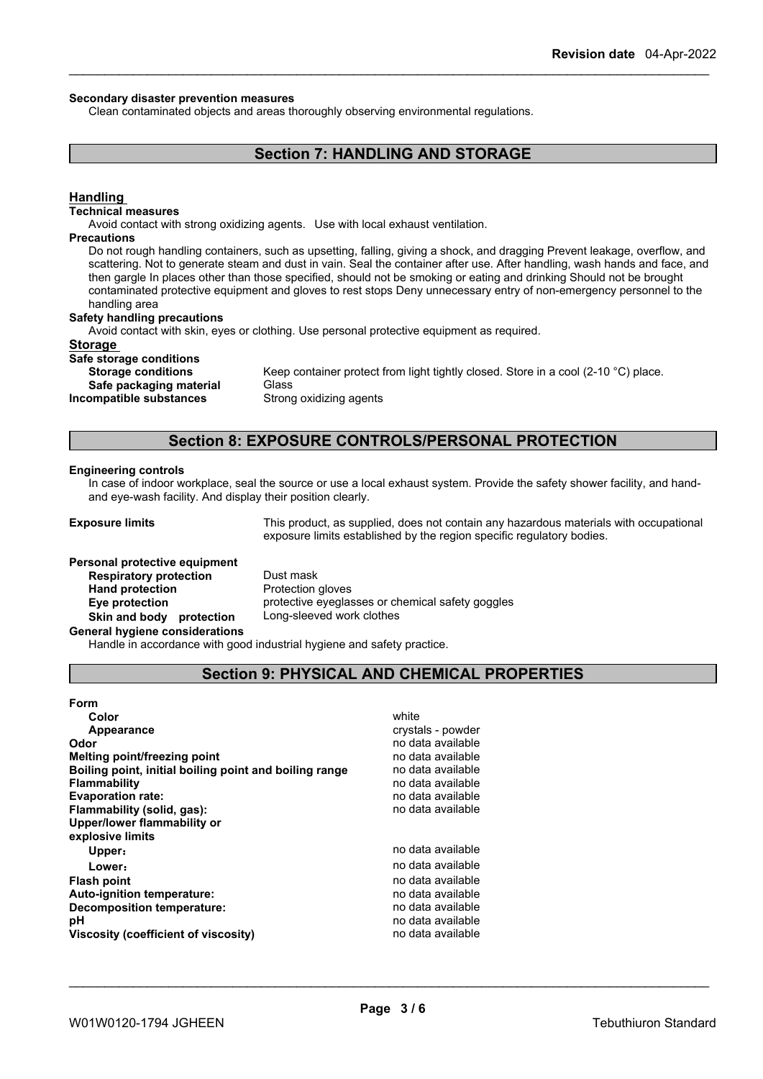#### **Secondary disaster prevention measures**

Clean contaminated objects and areas thoroughly observing environmental regulations.

## **Section 7: HANDLING AND STORAGE**

#### **Handling**

#### **Technical measures**

Avoid contact with strong oxidizing agents. Use with local exhaust ventilation.

#### **Precautions**

Do not rough handling containers, such as upsetting, falling, giving a shock, and dragging Prevent leakage, overflow, and scattering. Not to generate steam and dust in vain. Seal the container after use. After handling, wash hands and face, and then gargle In places other than those specified, should not be smoking or eating and drinking Should not be brought contaminated protective equipment and gloves to rest stops Deny unnecessary entry of non-emergency personnel to the handling area

#### **Safety handling precautions**

Avoid contact with skin, eyes or clothing. Use personal protective equipment as required.

#### **Storage**

#### **Safe storage conditions**

**Safe packaging material** Glass

**Storage conditions** Keep container protect from light tightly closed. Store in a cool (2-10 °C) place. **Incompatible substances** Strong oxidizing agents

## **Section 8: EXPOSURE CONTROLS/PERSONAL PROTECTION**

#### **Engineering controls**

In case of indoor workplace, seal the source or use a local exhaust system. Provide the safety shower facility, and handand eye-wash facility. And display their position clearly.

**Exposure limits** This product, as supplied, does not contain any hazardous materials with occupational exposure limits established by the region specific regulatory bodies.

## **Personal protective equipment**<br>**Respiratory protection** Dust mask **Respiratory** protection **Hand protection** Protection gloves **Skin and body protection** Long-sleeved work clothes

**Eye protection** protective eyeglasses or chemical safety goggles

#### **General hygiene considerations**

Handle in accordance with good industrial hygiene and safety practice.

## **Section 9: PHYSICAL AND CHEMICAL PROPERTIES**

#### **Form Color** white **Color** white **Color** white **Color** white **Color** white **Color Color Color Color Color Color Color Color Color Color Color Color Color Color Color Color Color Color Color Appearance** crystals - powder **Odor Odor** no data available **no data available no data available no data available no data available Melting point/freezing point**<br>**Boiling point, initial boiling point and boiling range** and conta available **Boiling point, initial boiling point and boiling range Flammability** no data available<br> **Fixaporation rate:** The contract of the contract of the contract of the contract of the contract of the contract of the contract of the contract of the contract of the contract of the con **Evaporation** rate: **Flammability (solid, gas):** no data available **Upper/lower flammability or explosive limits Upper: no data available Lower:** no data available **Flash point point** *point point point point point point point point point point point point point point point point point point point point* **Auto-ignition temperature:**<br> **Decomposition temperature:** National Communication of the product of the product of the product of the product of the product of the product of the product of the product of the product of th **Decomposition temperature: pH** no data available **Viscosity (coefficient of viscosity)** no data available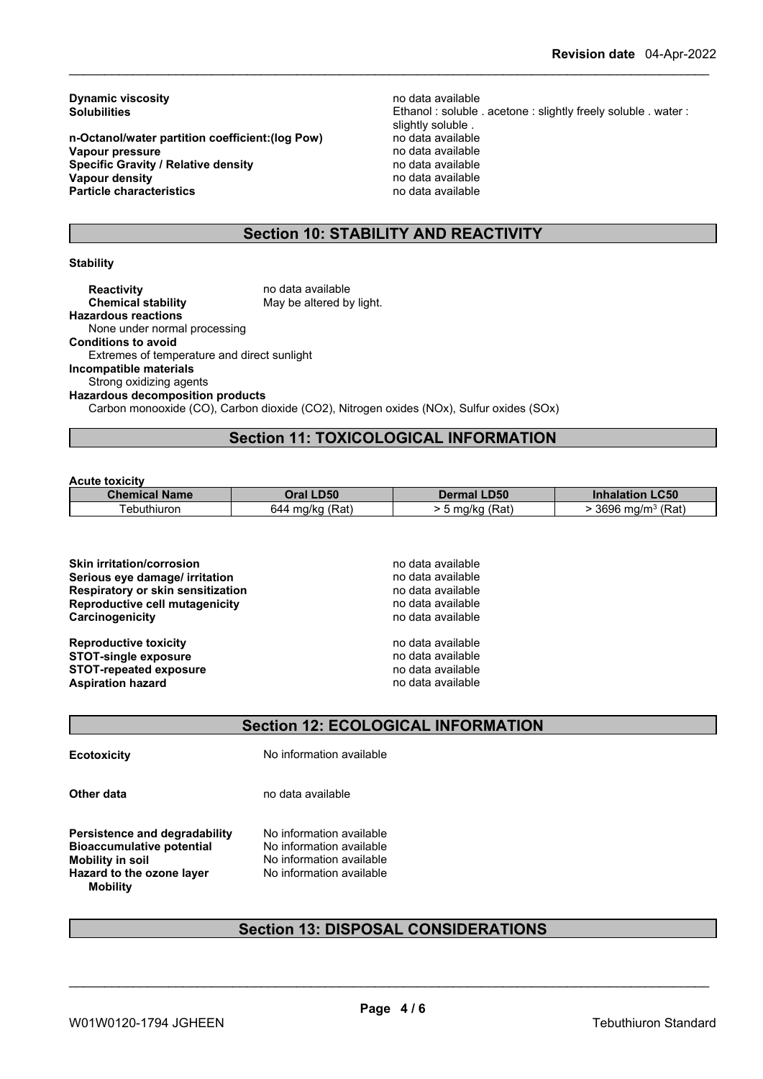**Dynamic viscosity**<br> **Solubilities**<br> **Solubilities**<br> **Solubilities** 

**n-Octanol/water partition coefficient:(log Pow)** no data available **Vapour pressure** no data available<br> **Specific Gravity / Relative density property** the no data available **Specific Gravity / Relative density and the control of the Vapour density Vapour density v Vapour density Vapour density**<br> **Particle characteristics**<br> **Particle characteristics**<br> **Particle characteristics Particle characteristics** 

Ethanol : soluble . acetone : slightly freely soluble . water : slightly soluble .<br>no data available

## **Section 10: STABILITY AND REACTIVITY**

#### **Stability**

**Reactivity Reactivity Reactivity no data available Chemical stability no data available** May be altered by light. **Hazardous reactions** None under normal processing **Conditions to avoid** Extremes of temperature and direct sunlight **Incompatible materials** Strong oxidizing agents **Hazardous decomposition products** Carbon monooxide (CO), Carbon dioxide (CO2), Nitrogen oxides (NOx), Sulfur oxides (SOx)

## **Section 11: TOXICOLOGICAL INFORMATION**

#### **Acute toxicity**

| <b>Chemical Name</b> | <b>Oral LD50</b>      | <b>Dermal LD50</b> | <b>LC50</b><br><b>Inhalation</b> |
|----------------------|-----------------------|--------------------|----------------------------------|
| ⊺ebuthiuron          | (Rat)<br>ma/ka<br>644 | (Rat<br>5 ma/ka    | (Rat)<br>3696<br>, ma/m·         |

| no data available |
|-------------------|
| no data available |
| no data available |
| no data available |
| no data available |
| no data available |
| no data available |
| no data available |
| no data available |
|                   |

## **Section 12: ECOLOGICAL INFORMATION**

**Ecotoxicity** No information available

**Other data** no data available

**Persistence and degradability** No information available<br>**Bioaccumulative potential** No information available **Bioaccumulative potential Mobility** in soil **Mobility in** No information available **Hazard to the ozone layer** No information available **Mobility**

## **Section 13: DISPOSAL CONSIDERATIONS**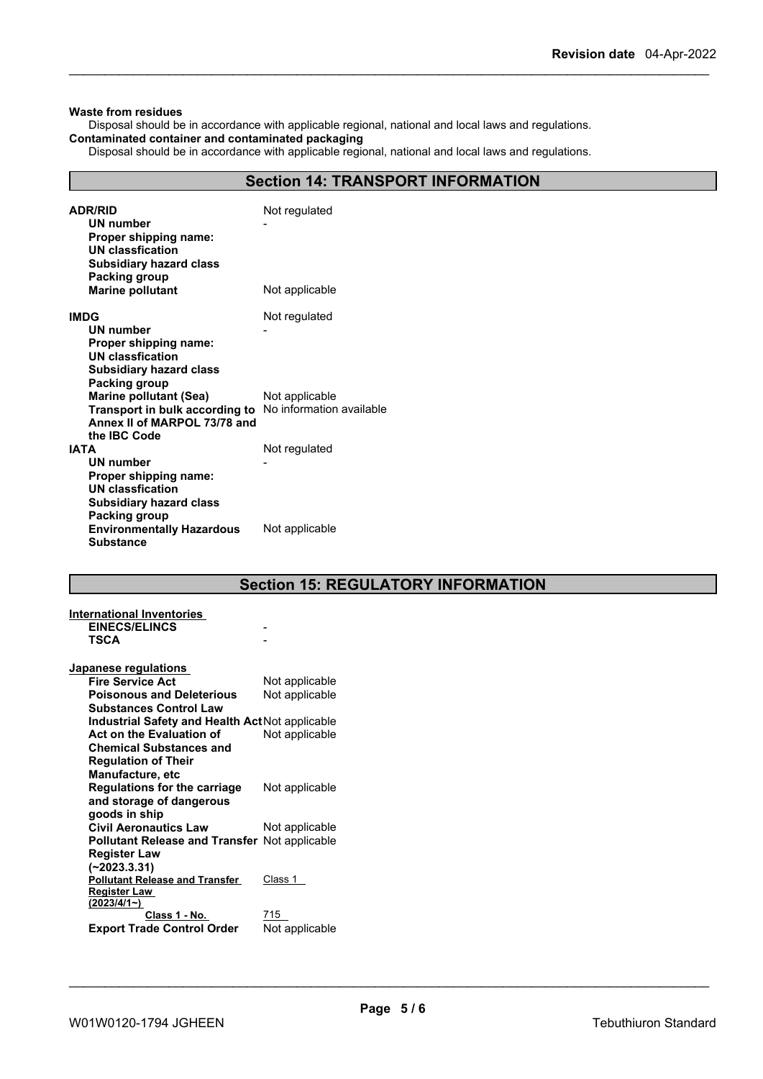#### **Waste from residues**

Disposal should be in accordance with applicable regional, national and local laws and regulations. **Contaminated container and contaminated packaging**

## Disposal should be in accordance with applicable regional, national and local laws and regulations.

**Section 14: TRANSPORT INFORMATION**

| <b>ADR/RID</b><br>UN number<br>Proper shipping name:<br><b>UN classfication</b><br><b>Subsidiary hazard class</b><br>Packing group<br><b>Marine pollutant</b> | Not regulated<br>Not applicable |
|---------------------------------------------------------------------------------------------------------------------------------------------------------------|---------------------------------|
|                                                                                                                                                               |                                 |
| <b>IMDG</b>                                                                                                                                                   | Not regulated                   |
| <b>UN number</b>                                                                                                                                              |                                 |
| Proper shipping name:<br>UN classfication                                                                                                                     |                                 |
| <b>Subsidiary hazard class</b>                                                                                                                                |                                 |
| <b>Packing group</b>                                                                                                                                          |                                 |
| <b>Marine pollutant (Sea)</b>                                                                                                                                 | Not applicable                  |
| Transport in bulk according to No information available                                                                                                       |                                 |
| Annex II of MARPOL 73/78 and<br>the IBC Code                                                                                                                  |                                 |
| <b>IATA</b>                                                                                                                                                   | Not regulated                   |
| <b>UN number</b>                                                                                                                                              |                                 |
| Proper shipping name:                                                                                                                                         |                                 |
| <b>UN classfication</b>                                                                                                                                       |                                 |
| <b>Subsidiary hazard class</b>                                                                                                                                |                                 |
| <b>Packing group</b><br><b>Environmentally Hazardous</b><br><b>Substance</b>                                                                                  | Not applicable                  |

|  | <b>Section 15: REGULATORY INFORMATION</b> |  |
|--|-------------------------------------------|--|
|--|-------------------------------------------|--|

| International Inventories                            |                |
|------------------------------------------------------|----------------|
| <b>EINECS/ELINCS</b>                                 |                |
| TSCA                                                 |                |
|                                                      |                |
| Japanese regulations                                 |                |
| <b>Fire Service Act</b>                              | Not applicable |
| <b>Poisonous and Deleterious</b>                     | Not applicable |
| <b>Substances Control Law</b>                        |                |
| Industrial Safety and Health Act Not applicable      |                |
| Act on the Evaluation of                             | Not applicable |
| <b>Chemical Substances and</b>                       |                |
| <b>Regulation of Their</b>                           |                |
| <b>Manufacture, etc</b>                              |                |
| <b>Regulations for the carriage</b>                  | Not applicable |
| and storage of dangerous                             |                |
| goods in ship                                        |                |
| <b>Civil Aeronautics Law</b>                         | Not applicable |
| <b>Pollutant Release and Transfer Not applicable</b> |                |
| <b>Register Law</b>                                  |                |
| $(-2023.3.31)$                                       |                |
| <b>Pollutant Release and Transfer</b>                | Class 1        |
| <b>Register Law</b><br>(2023/4/1)                    |                |
| Class 1 - No.                                        | 715            |
| <b>Export Trade Control Order</b>                    | Not applicable |
|                                                      |                |